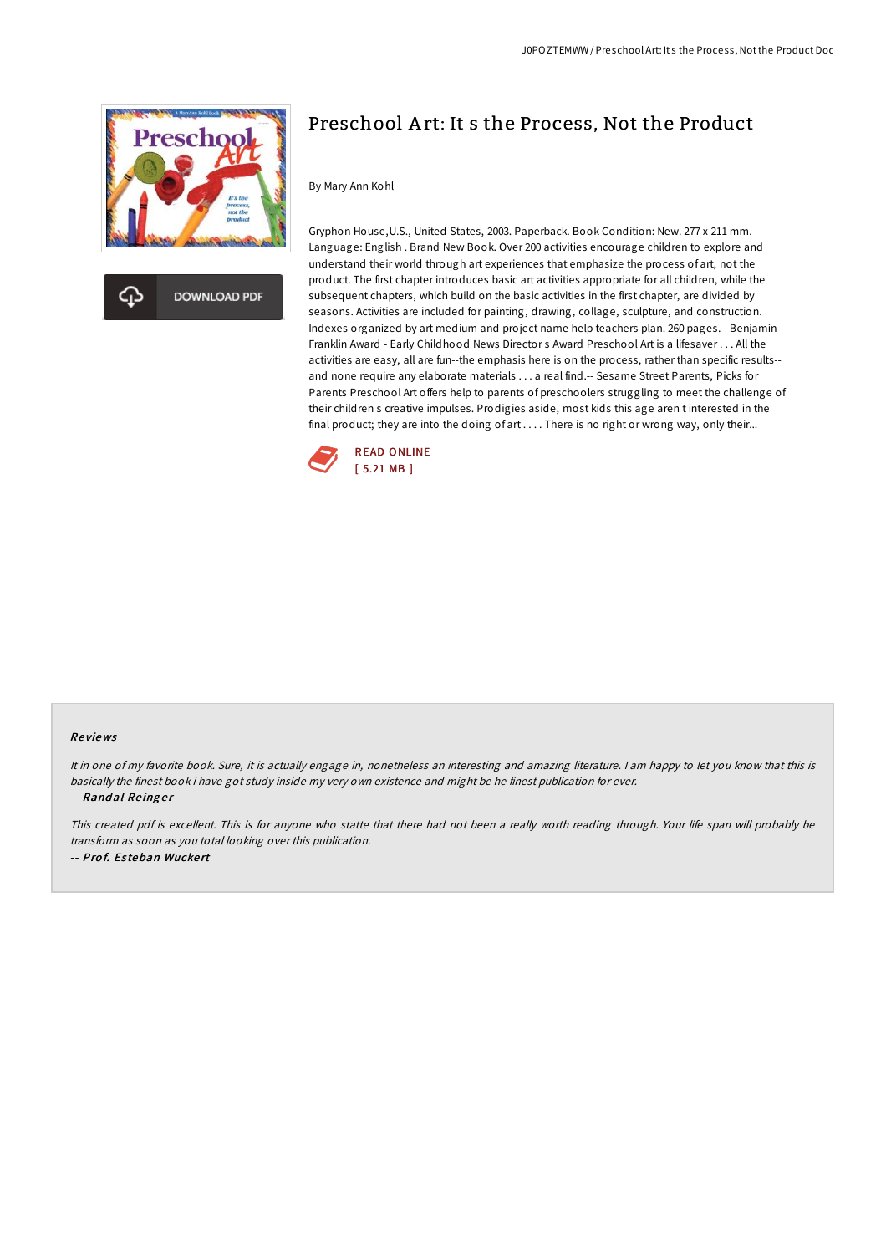



## Preschool A rt: It s the Process, Not the Product

## By Mary Ann Kohl

Gryphon House,U.S., United States, 2003. Paperback. Book Condition: New. 277 x 211 mm. Language: English . Brand New Book. Over 200 activities encourage children to explore and understand their world through art experiences that emphasize the process of art, not the product. The first chapter introduces basic art activities appropriate for all children, while the subsequent chapters, which build on the basic activities in the first chapter, are divided by seasons. Activities are included for painting, drawing, collage, sculpture, and construction. Indexes organized by art medium and project name help teachers plan. 260 pages. - Benjamin Franklin Award - Early Childhood News Director s Award Preschool Art is a lifesaver . . . All the activities are easy, all are fun--the emphasis here is on the process, rather than specific results- and none require any elaborate materials . . . a real find.-- Sesame Street Parents, Picks for Parents Preschool Art offers help to parents of preschoolers struggling to meet the challenge of their children s creative impulses. Prodigies aside, most kids this age aren t interested in the final product; they are into the doing of art . . . . There is no right or wrong way, only their...



## Re views

It in one of my favorite book. Sure, it is actually engage in, nonetheless an interesting and amazing literature. <sup>I</sup> am happy to let you know that this is basically the finest book i have got study inside my very own existence and might be he finest publication for ever. -- Randal Reinger

This created pdf is excellent. This is for anyone who statte that there had not been <sup>a</sup> really worth reading through. Your life span will probably be transform as soon as you total looking over this publication. -- Prof. Esteban Wuckert